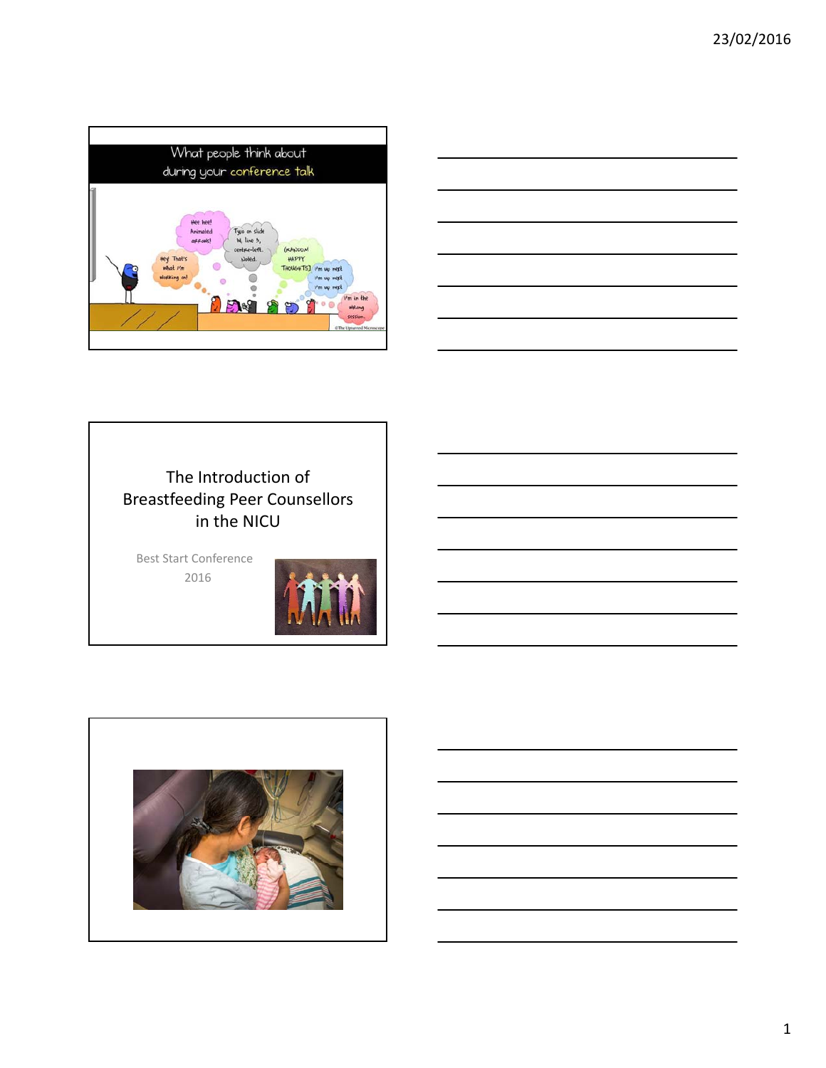



# The Introduction of Breastfeeding Peer Counsellors in the NICU

Best Start Conference 2016



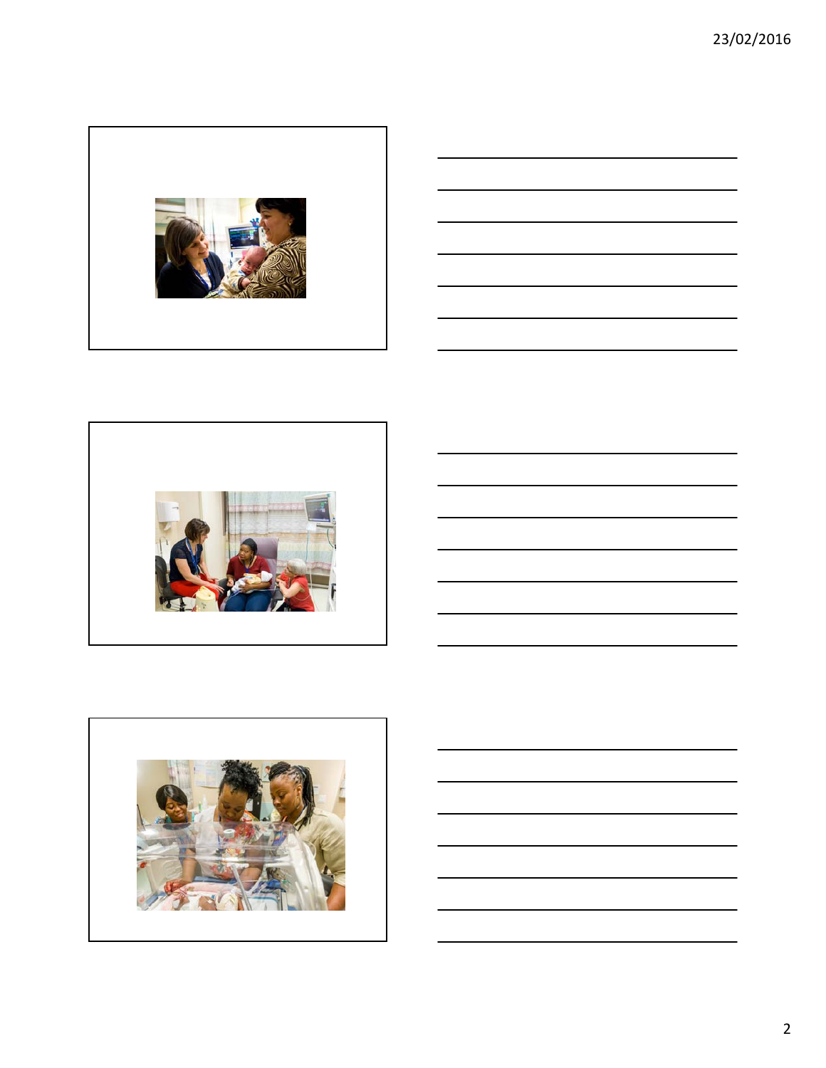







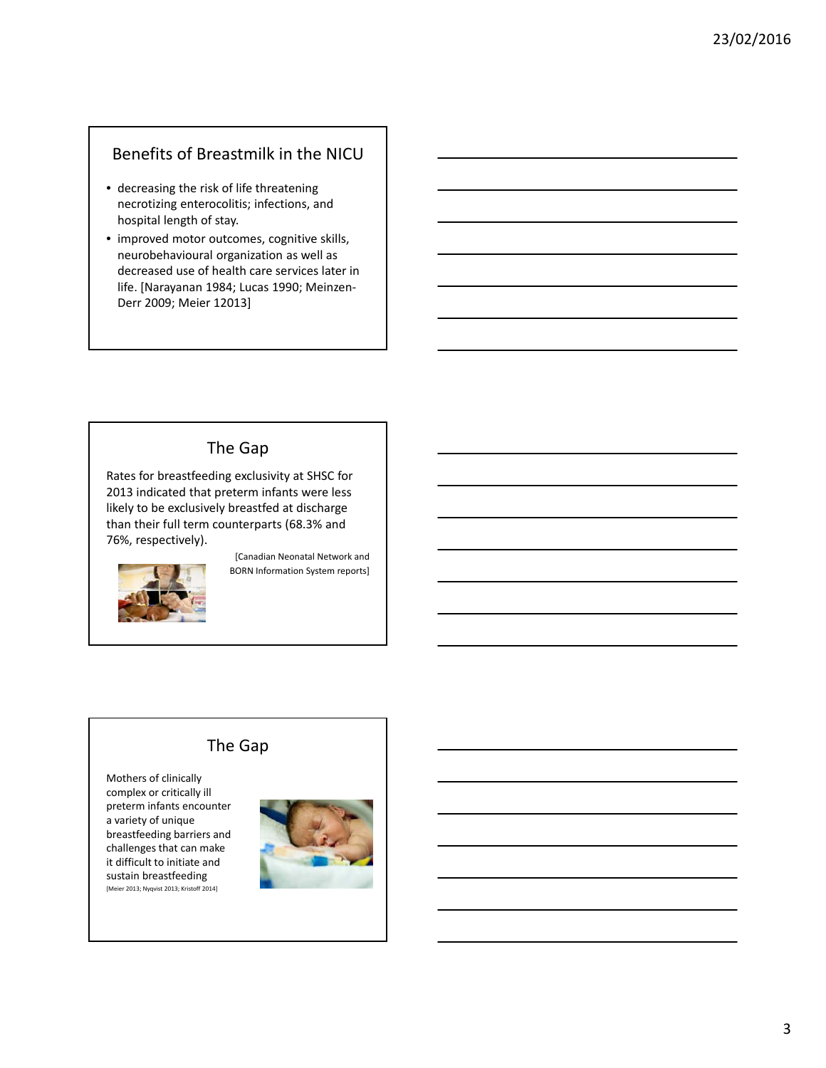## Benefits of Breastmilk in the NICU

- decreasing the risk of life threatening necrotizing enterocolitis; infections, and hospital length of stay.
- improved motor outcomes, cognitive skills, neurobehavioural organization as well as decreased use of health care services later in life. [Narayanan 1984; Lucas 1990; Meinzen‐ Derr 2009; Meier 12013]

# The Gap

Rates for breastfeeding exclusivity at SHSC for 2013 indicated that preterm infants were less likely to be exclusively breastfed at discharge than their full term counterparts (68.3% and 76%, respectively).



[Canadian Neonatal Network and BORN Information System reports]

# The Gap

Mothers of clinically complex or critically ill preterm infants encounter a variety of unique breastfeeding barriers and challenges that can make it difficult to initiate and sustain breastfeeding [Meier 2013; Nyqvist 2013; Kristoff 2014]

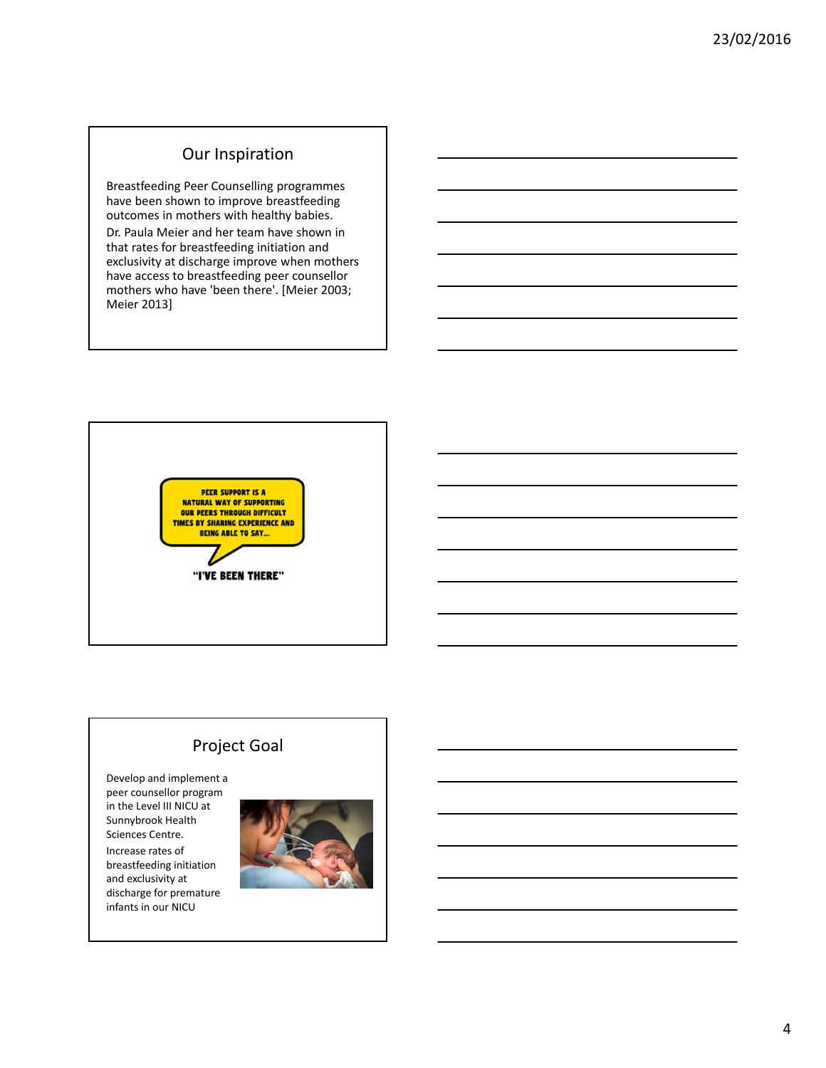## Our Inspiration

Breastfeeding Peer Counselling programmes have been shown to improve breastfeeding outcomes in mothers with healthy babies.

Dr. Paula Meier and her team have shown in that rates for breastfeeding initiation and exclusivity at discharge improve when mothers have access to breastfeeding peer counsellor mothers who have 'been there'. [Meier 2003; Meier 2013]



# Project Goal

Develop and implement a peer counsellor program in the Level III NICU at Sunnybrook Health Sciences Centre. Increase rates of breastfeeding initiation and exclusivity at discharge for premature infants in our NICU

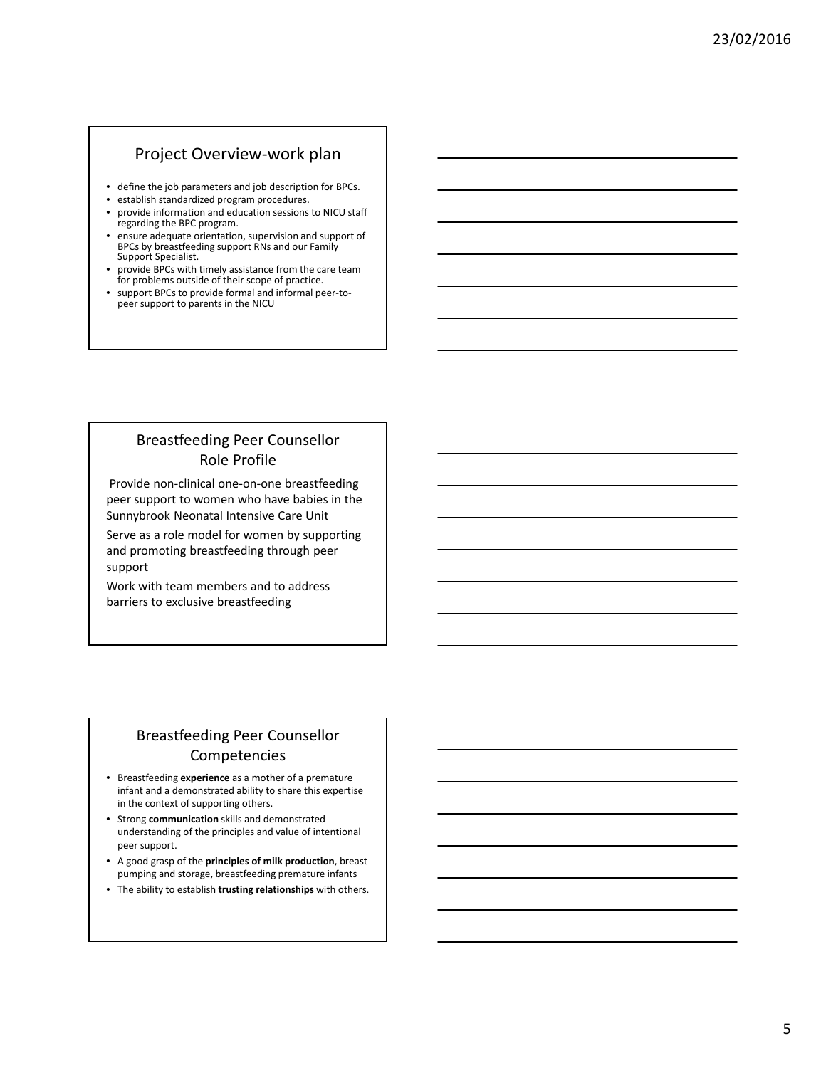#### Project Overview‐work plan

- define the job parameters and job description for BPCs.
- establish standardized program procedures.
- provide information and education sessions to NICU staff regarding the BPC program.
- ensure adequate orientation, supervision and support of BPCs by breastfeeding support RNs and our Family Support Specialist.
- provide BPCs with timely assistance from the care team for problems outside of their scope of practice.
- support BPCs to provide formal and informal peer‐to‐ peer support to parents in the NICU

#### Breastfeeding Peer Counsellor Role Profile

Provide non‐clinical one‐on‐one breastfeeding peer support to women who have babies in the Sunnybrook Neonatal Intensive Care Unit

Serve as a role model for women by supporting and promoting breastfeeding through peer support

Work with team members and to address barriers to exclusive breastfeeding

#### Breastfeeding Peer Counsellor Competencies

- Breastfeeding **experience** as a mother of a premature infant and a demonstrated ability to share this expertise in the context of supporting others.
- Strong **communication** skills and demonstrated understanding of the principles and value of intentional peer support.
- A good grasp of the **principles of milk production**, breast pumping and storage, breastfeeding premature infants
- The ability to establish **trusting relationships** with others.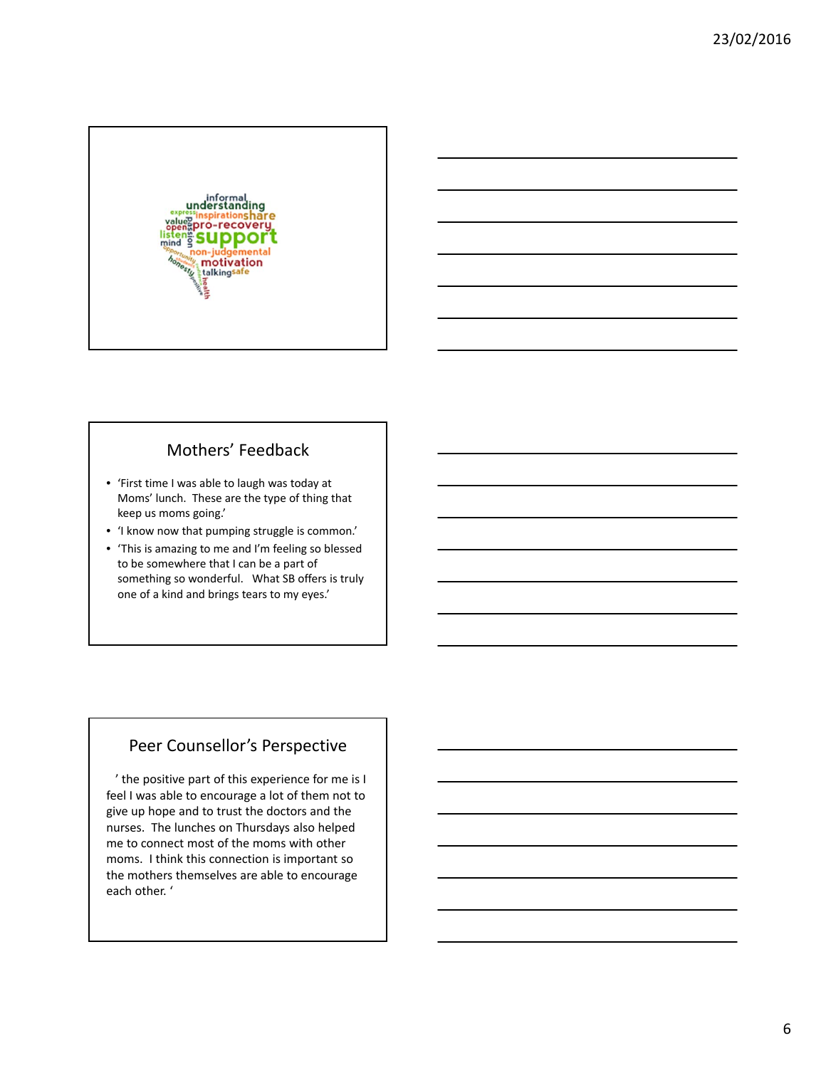

## Mothers' Feedback

- 'First time I was able to laugh was today at Moms' lunch. These are the type of thing that keep us moms going.'
- 'I know now that pumping struggle is common.'
- 'This is amazing to me and I'm feeling so blessed to be somewhere that I can be a part of something so wonderful. What SB offers is truly one of a kind and brings tears to my eyes.'

## Peer Counsellor's Perspective

' the positive part of this experience for me is I feel I was able to encourage a lot of them not to give up hope and to trust the doctors and the nurses. The lunches on Thursdays also helped me to connect most of the moms with other moms. I think this connection is important so the mothers themselves are able to encourage each other. '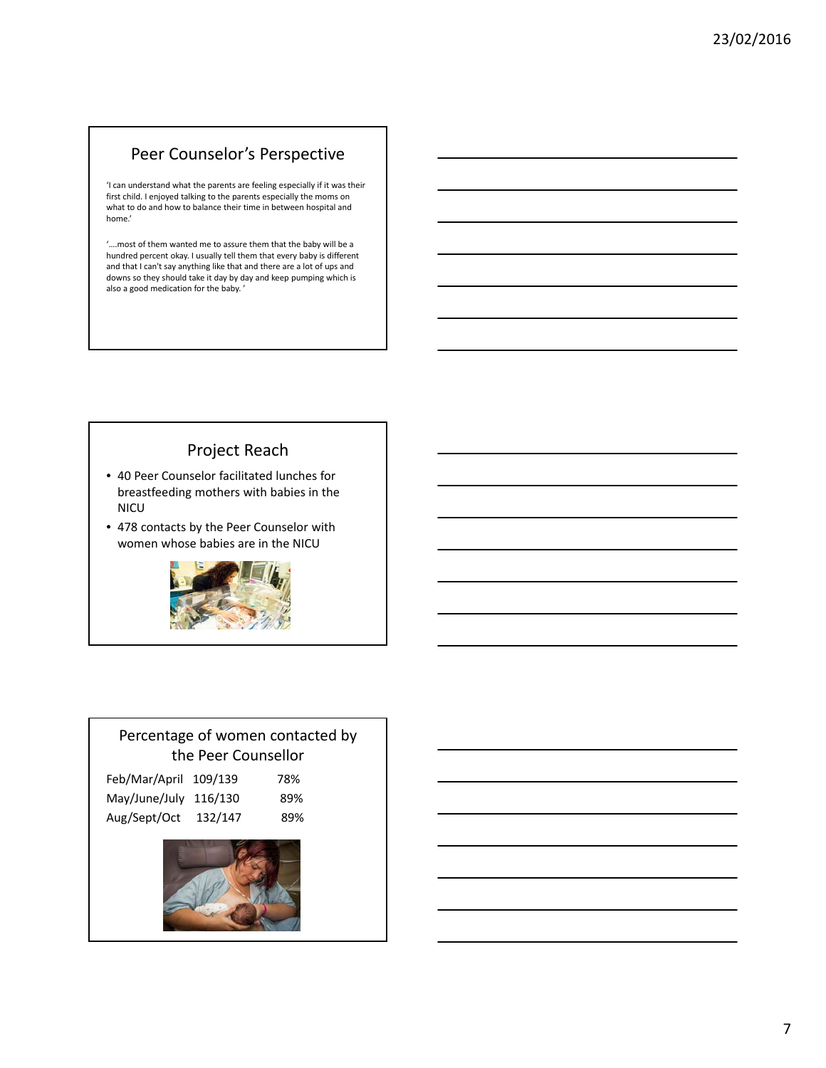## Peer Counselor's Perspective

'I can understand what the parents are feeling especially if it was their first child. I enjoyed talking to the parents especially the moms on what to do and how to balance their time in between hospital and home.'

'….most of them wanted me to assure them that the baby will be a hundred percent okay. I usually tell them that every baby is different and that I can't say anything like that and there are a lot of ups and downs so they should take it day by day and keep pumping which is also a good medication for the baby. '

# Project Reach

- 40 Peer Counselor facilitated lunches for breastfeeding mothers with babies in the NICU
- 478 contacts by the Peer Counselor with women whose babies are in the NICU



## Percentage of women contacted by the Peer Counsellor

| Feb/Mar/April 109/139 |         | 78% |
|-----------------------|---------|-----|
| May/June/July 116/130 |         | 89% |
| Aug/Sept/Oct          | 132/147 | 89% |

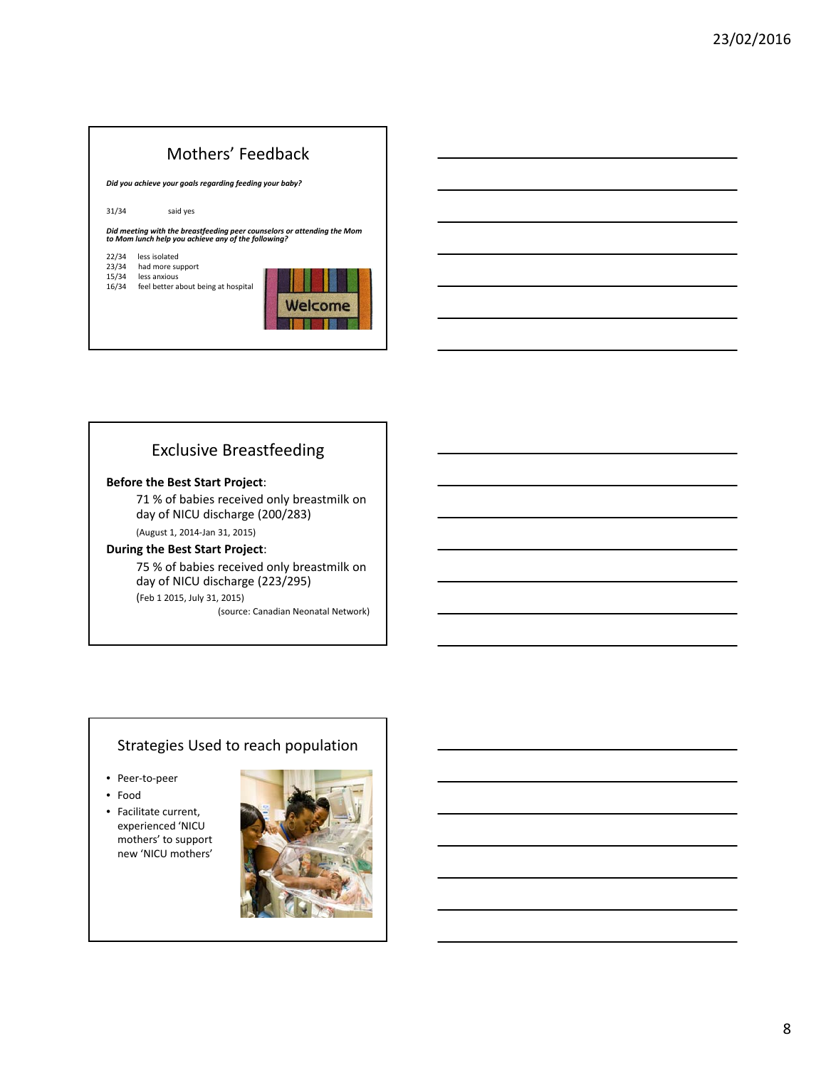| Mothers' Feedback                                       |                                                                                                                                                                                                                            |  |  |
|---------------------------------------------------------|----------------------------------------------------------------------------------------------------------------------------------------------------------------------------------------------------------------------------|--|--|
| Did you achieve your goals regarding feeding your baby? |                                                                                                                                                                                                                            |  |  |
| 31/34                                                   | said yes                                                                                                                                                                                                                   |  |  |
| 22/34<br>23/34<br>15/34<br>16/34                        | Did meeting with the breastfeeding peer counselors or attending the Mom<br>to Mom lunch help you achieve any of the following?<br>less isolated<br>had more support<br>less anxious<br>feel better about being at hospital |  |  |
|                                                         |                                                                                                                                                                                                                            |  |  |

## Exclusive Breastfeeding

#### **Before the Best Start Project**:

71 % of babies received only breastmilk on day of NICU discharge (200/283) (August 1, 2014‐Jan 31, 2015)

# **During the Best Start Project**:

75 % of babies received only breastmilk on day of NICU discharge (223/295) (Feb 1 2015, July 31, 2015)

(source: Canadian Neonatal Network)

#### Strategies Used to reach population

- Peer‐to‐peer
- Food
- Facilitate current, experienced 'NICU mothers' to support new 'NICU mothers'